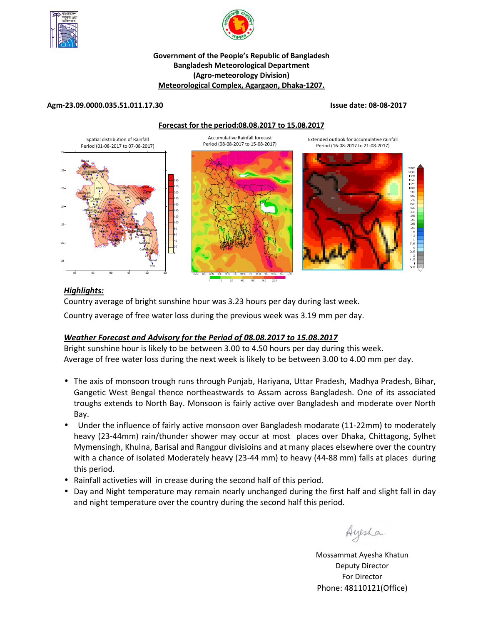



# **Government of the People's Republic of Bangladesh Bangladesh Meteorological Department (Agro-meteorology Division) Meteorological Complex, Agargaon, Dhaka-1207.**

# **Agm-23.09.0000.035.51.011.17.30 Issue date: 08-08-2017**

### **Forecast for the period:08.08.2017 to 15.08.2017**



# *Highlights:*

Country average of bright sunshine hour was 3.23 hours per day during last week.

Country average of free water loss during the previous week was 3.19 mm per day.

# *Weather Forecast and Advisory for the Period of 08.08.2017 to 15.08.2017*

Bright sunshine hour is likely to be between 3.00 to 4.50 hours per day during this week. Average of free water loss during the next week is likely to be between 3.00 to 4.00 mm per day.

- The axis of monsoon trough runs through Punjab, Hariyana, Uttar Pradesh, Madhya Pradesh, Bihar, Gangetic West Bengal thence northeastwards to Assam across Bangladesh. One of its associated troughs extends to North Bay. Monsoon is fairly active over Bangladesh and moderate over North Bay.
- Under the influence of fairly active monsoon over Bangladesh modarate (11-22mm) to moderately heavy (23-44mm) rain/thunder shower may occur at most places over Dhaka, Chittagong, Sylhet Mymensingh, Khulna, Barisal and Rangpur divisioins and at many places elsewhere over the country with a chance of isolated Moderately heavy (23-44 mm) to heavy (44-88 mm) falls at places during this period.
- Rainfall activeties will in crease during the second half of this period.
- Day and Night temperature may remain nearly unchanged during the first half and slight fall in day and night temperature over the country during the second half this period.

Ayesha

**N.B** Mossammat Ayesha Khatun Deputy Director For Director Phone: 48110121(Office)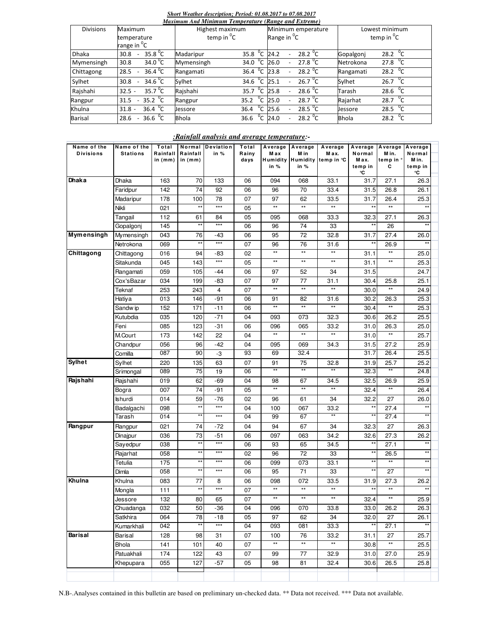#### *Short Weather description; Period: 01.08.2017 to 07.08.2017*

| Maximum And Minimum Temperature (Range and Extreme) |                                           |                   |                     |                                                         |                                     |  |  |  |  |  |  |
|-----------------------------------------------------|-------------------------------------------|-------------------|---------------------|---------------------------------------------------------|-------------------------------------|--|--|--|--|--|--|
| <b>Divisions</b>                                    | <b>Maximum</b>                            | Highest maximum   |                     | Minimum emperature                                      | Lowest minimum                      |  |  |  |  |  |  |
|                                                     | temperature                               | temp in ${}^{0}C$ |                     | Range in <sup>o</sup> C                                 | temp in ${}^{0}C$                   |  |  |  |  |  |  |
|                                                     | range in <sup>o</sup> C                   |                   |                     |                                                         |                                     |  |  |  |  |  |  |
| <b>Dhaka</b>                                        | 35.8 $^{\circ}$ C<br>30.8                 | Madaripur         | 35.8 $\mathrm{^0C}$ | 28.2 $^{\circ}$ C<br>24.2<br>$\overline{\phantom{a}}$   | 28.2 $\sqrt[0]{C}$<br>Gopalgonj     |  |  |  |  |  |  |
| Mymensingh                                          | 34.0 $^{\circ}$ C<br>30.8                 | Mymensingh        | 34.0 $\mathrm{^0C}$ | 27.8 $^{\circ}$ C<br>26.0<br>$\overline{a}$             | 27.8 $\mathrm{^{0}C}$<br>Netrokona  |  |  |  |  |  |  |
| Chittagong                                          | $36.4 \, \frac{\pi}{C}$<br>28.5<br>$\sim$ | Rangamati         | $36.4 \text{ °C}$   | $28.2 \text{ °C}$<br>23.8                               | 28.2 $\mathrm{^{0}C}$<br>Rangamati  |  |  |  |  |  |  |
| Sylhet                                              | 34.6 $^{0}$ C<br>30.8<br>$\sim$           | Sylhet            | 34.6 $^{0}C$        | 26.7 $\mathrm{^0C}$<br>25.1<br>$\overline{\phantom{0}}$ | 26.7 $^{0}C$<br>Sylhet              |  |  |  |  |  |  |
| Rajshahi                                            | 35.7 $\mathrm{^0C}$<br>$32.5 -$           | Rajshahi          | 35.7 $\degree$ C    | 28.6 $^{0}$ C<br>25.8<br>$\overline{a}$                 | 28.6 $^{\circ}$ C<br>Tarash         |  |  |  |  |  |  |
| Rangpur                                             | 35.2 $\mathrm{^0C}$<br>31.5<br>$\sim$     | Rangpur           | $^0C$<br>35.2       | $28.7\degree$ C<br>25.0                                 | 28.7 $\mathrm{^{0}C}$<br>Rajarhat   |  |  |  |  |  |  |
| Khulna                                              | 36.4 $^{\circ}$ C<br>$31.8 -$             | Jessore           | °C<br>36.4          | 28.5 $\degree$ C<br>25.6<br>$\overline{\phantom{0}}$    | 28.5 $^{0}C$<br>Jessore             |  |  |  |  |  |  |
| <b>Barisal</b>                                      | $36.6^{0}C$<br>28.6<br>$\sim$             | <b>Bhola</b>      | °с<br>36.6          | $28.2^{0}C$<br>24.0                                     | 28.2 $\mathrm{^0C}$<br><b>Bhola</b> |  |  |  |  |  |  |

# *:Rainfall analysis and average temperature:-*

| Name of the<br><b>Divisions</b> | Name of the<br><b>Stations</b> | Total<br>Rainfall | Normal<br>Rainfall | Deviation<br>in % | Total<br>Rainy | M a x        | Average Average<br>M in | Average<br>Max.              | Normal                 | Average Average Average<br>M in. | Normal                 |  |
|---------------------------------|--------------------------------|-------------------|--------------------|-------------------|----------------|--------------|-------------------------|------------------------------|------------------------|----------------------------------|------------------------|--|
|                                 |                                | in (mm)           | in $(mm)$          |                   | days           | in %         | in $%$                  | Humidity Humidity temp in °C | M ax.<br>temp in<br>°C | temp in<br>С                     | M in.<br>temp in<br>°C |  |
| Dhaka                           | Dhaka                          | 163               | 70                 | 133               | 06             | 094          | 068                     | 33.1                         | 31.7                   | 27.1                             | 26.3                   |  |
|                                 | Faridpur                       | 142               | 74                 | 92                | 06             | 96           | 70                      | 33.4                         | 31.5                   | 26.8                             | 26.1                   |  |
|                                 | Madaripur                      | 178               | 100                | 78                | 07             | 97           | 62                      | 33.5                         | 31.7                   | 26.4                             | 25.3                   |  |
|                                 | Nikli                          | 021               | $**$               | $***$             | 05             | $**$         | $\star\star$            | $**$                         | $**$                   | $\star\star$                     | $\star\star$           |  |
|                                 | Tangail                        | 112               | 61                 | 84                | 05             | 095          | 068                     | 33.3                         | 32.3                   | 27.1                             | 26.3                   |  |
|                                 | Gopalgonj                      | 145               | $\star\star$       | $***$             | 06             | 96           | 74                      | 33                           | $\star\star$           | 26                               | $\star\star$           |  |
| <b>Mymensingh</b>               | Mymensingh                     | 043               | 76                 | -43               | 06             | 95           | 72                      | 32.8                         | 31.7                   | 27.4                             | 26.0                   |  |
|                                 | Netrokona                      | 069               | $\star\star$       | $\star\star\star$ | 07             | 96           | 76                      | 31.6                         | $\star\star$           | 26.9                             | $**$                   |  |
| Chittagong                      | Chittagong                     | 016               | 94                 | -83               | 02             | $**$         | $**$                    | $**$                         | 31.1                   | $\star\star$                     | 25.0                   |  |
|                                 | Sitakunda                      | 045               | 143                | $***$             | 05             | $\star\star$ | $\star\star$            | $\star\star$                 | 31.1                   | $\star\star$                     | 25.3                   |  |
|                                 | Rangamati                      | 059               | 105                | $-44$             | 06             | 97           | 52                      | 34                           | 31.5                   |                                  | 24.7                   |  |
|                                 | Cox'sBazar                     | 034               | 199                | -83               | 07             | 97           | 77                      | 31.1                         | 30.4                   | 25.8                             | 25.1                   |  |
|                                 | Teknaf                         | 253               | 243                | 4                 | 07             | $\star\star$ | $\star\star$            | $\star\star$                 | 30.0                   | $\star\star$                     | 24.9                   |  |
|                                 | Hatiya                         | 013               | 146                | -91               | 06             | 91           | 82                      | 31.6                         | 30.2                   | 26.3                             | 25.3                   |  |
|                                 | Sandw ip                       | 152               | 171                | $-11$             | 06             | $\star\star$ | $**$                    | $\star\star$                 | 30.4                   | $\star\star$                     | 25.3                   |  |
|                                 | Kutubdia                       | 035               | 120                | $-71$             | 04             | 093          | 073                     | 32.3                         | 30.6                   | 26.2                             | 25.5                   |  |
|                                 | Feni                           | 085               | 123                | $-31$             | 06             | 096          | 065                     | 33.2                         | 31.0                   | 26.3                             | 25.0                   |  |
|                                 | M.Court                        | 173               | 142                | 22                | 04             | $**$         | $**$                    | $**$                         | 31.0                   | $\star\star$                     | 25.7                   |  |
|                                 | Chandpur                       | 056               | 96                 | $-42$             | 04             | 095          | 069                     | 34.3                         | 31.5                   | 27.2                             | 25.9                   |  |
|                                 | Comilla                        | 087               | 90                 | -3                | 93             | 69           | 32.4                    |                              | 31.7                   | 26.4                             | 25.5                   |  |
| <b>Sylhet</b>                   | Sylhet                         | 220               | 135                | 63                | 07             | 91           | 75                      | 32.8                         | 31.9                   | 25.7                             | 25.2                   |  |
|                                 | Srimongal                      | 089               | 75                 | 19                | 06             | $**$         | $***$                   | $**$                         | 32.3                   | $**$                             | 24.8                   |  |
| Rajshahi                        | Rajshahi                       | 019               | 62                 | $-69$             | 04             | 98           | 67                      | 34.5                         | 32.5                   | 26.9                             | 25.9                   |  |
|                                 | Bogra                          | 007               | 74                 | $-91$             | 05             | $\star\star$ | $\star\star$            | $\star\star$                 | 32.4                   | $\star\star$                     | 26.4                   |  |
|                                 | <b>Ishurdi</b>                 | 014               | 59                 | $-76$             | 02             | 96           | 61                      | 34                           | 32.2                   | 27                               | 26.0                   |  |
|                                 | Badalgachi                     | 098               | $\star\star$       | $***$             | 04             | 100          | 067                     | 33.2                         | $\star\star$           | 27.4                             | $\star\star$           |  |
|                                 | Tarash                         | 014               | $***$              | $***$             | 04             | 99           | 67                      | $**$                         |                        | 27.4                             |                        |  |
| Rangpur                         | Rangpur                        | 021               | 74                 | $-72$             | 04             | 94           | 67                      | 34                           | 32.3                   | 27                               | 26.3                   |  |
|                                 | Dinajpur                       | 036               | 73                 | $-51$             | 06             | 097          | 063                     | 34.2                         | 32.6                   | 27.3                             | 26.2                   |  |
|                                 | Sayedpur                       | 038               | $\star\star$       | $***$             | 06             | 93           | 65                      | 34.5                         | $\star\star$           | 27.1                             | $\star\star$           |  |
|                                 | Rajarhat                       | 058               | $\star\star$       | $***$             | 02             | 96           | 72                      | 33                           | $*^*$                  | 26.5                             | $^{\star\star}$        |  |
|                                 | Tetulia                        | 175               | $\star\star$       | $***$             | 06             | 099          | 073                     | 33.1                         | $\star\star$           | $\star\star$                     | $\star\star$           |  |
|                                 | Dimla                          | 058               | $\star\star$       | $***$             | 06             | 95           | 71                      | 33                           |                        | 27                               | $\star\star$           |  |
| Khulna                          | Khulna                         | 083               | 77                 | 8                 | 06             | 098          | 072                     | 33.5                         | 31.9                   | 27.3                             | 26.2                   |  |
|                                 | Mongla                         | 111               | $\star\star$       | $***$             | 07             | $**$         | $**$                    | $\star\star$                 | $\star\star$           | $\star\star$                     | $\star\star$           |  |
|                                 | Jessore                        | 132               | 80                 | 65                | 07             | $\star\star$ | $\star\star$            | $\star\star$                 | 32.4                   | $\star\star$                     | 25.9                   |  |
|                                 | Chuadanga                      | 032               | 50                 | $-36$             | 04             | 096          | 070                     | 33.8                         | 33.0                   | 26.2                             | 26.3                   |  |
|                                 | Satkhira                       | 064               | 78                 | $-18$             | 05             | 97           | 62                      | 34                           | 32.0                   | 27                               | 26.1                   |  |
|                                 | Kumarkhali                     | 042               | $\star\star$       | $***$             | 04             | 093          | 081                     | 33.3                         | $\star\star$           | 27.1                             | $**$                   |  |
| Barisal                         | Barisal                        | 128               | 98                 | 31                | 07             | 100          | 76                      | 33.2                         | 31.1                   | 27                               | 25.7                   |  |
|                                 | Bhola                          | 141               | 101                | 40                | 07             | $\star\star$ | $\star\star$            | $\star\star$                 | 30.8                   | $\star\star$                     | 25.5                   |  |
|                                 | Patuakhali                     | 174               | 122                | 43                | 07             | 99           | 77                      | 32.9                         | 31.0                   | 27.0                             | 25.9                   |  |
|                                 | Khepupara                      | 055               | 127                | $-57$             | 05             | 98           | 81                      | 32.4                         | 30.6                   | 26.5                             | 25.8                   |  |
|                                 |                                |                   |                    |                   |                |              |                         |                              |                        |                                  |                        |  |

N.B-.Analyses contained in this bulletin are based on preliminary un-checked data. \*\* Data not received. \*\*\* Data not available.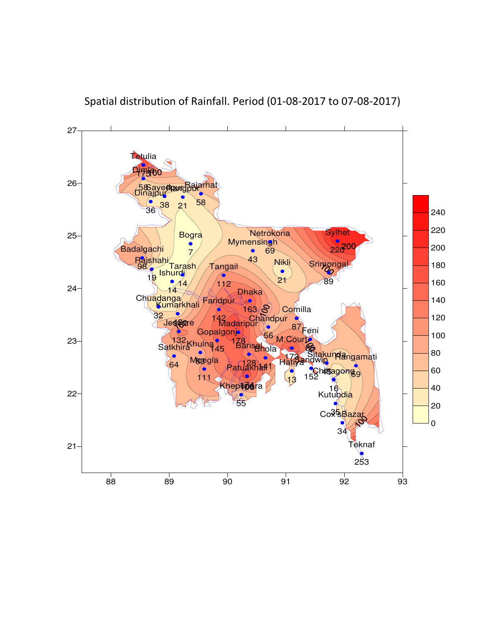

Spatial distribution of Rainfall. Period (01-08-2017 to 07-08-2017)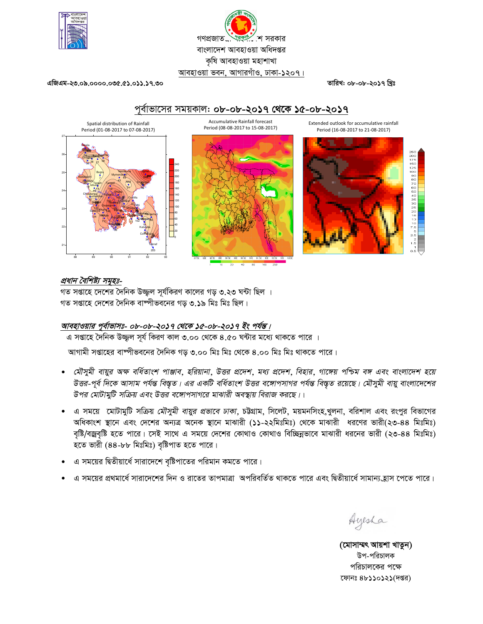



এজিএম-২৩.০৯.০০০০.০৩৫.৫১.০১১.১৭.৩০

তারিখ: ০৮-০৮-২০১৭ খিঃ



# প্রধান বৈশিষ্ট্য সমূহঃ-

গত সপ্তাহে দেশের দৈনিক উজ্জল সূর্যকিরণ কালের গড় ৩.২৩ ঘন্টা ছিল । গত সপ্তাহে দেশের দৈনিক বাষ্পীভবনের গড় ৩.১৯ মিঃ মিঃ ছিল।

# আবহাওয়ার পূর্বাভাসঃ- ০৮<u>-০৮-২০১৭ থেকে ১৫-০৮-২০১৭ ইং পর্যন্ত।</u>

এ সপ্তাহে দৈনিক উজ্জুল সূর্য কিরণ কাল ৩.০০ থেকে ৪.৫০ ঘন্টার মধ্যে থাকতে পারে ।

আগামী সপ্তাহের বাষ্পীভবনের দৈনিক গড ৩.০০ মিঃ মিঃ থেকে ৪.০০ মিঃ মিঃ থাকতে পারে।

- মৌসুমী বায়ুর অক্ষ বর্ধিতাংশ পাঞ্জাব, হরিয়ানা, উত্তর প্রদেশ, মধ্য প্রদেশ, বিহার, গাঙ্গেয় পশ্চিম বঙ্গ এবং বাংলাদেশ হয়ে উত্তর-পূর্ব দিকে আসাম পর্যন্ত বিস্তৃত। এর একটি বর্ধিতাংশ উত্তর বঙ্গোপসাগর পর্যন্ত বিস্তৃত রয়েছে। মৌসুমী বায়ু বাংলাদেশের উপর মোটামুটি সক্রিয় এবং উত্তর বঙ্গোপসাগরে মাঝারী অবস্থায় বিরাজ করছে।।
- ় এ সময়ে মোটামুটি সক্রিয় *মৌসুমী বায়ুর প্রভাবে ঢাকা*, চট্টগ্রাম, সিলেট, ময়মনসিংহ,খুলনা, বরিশাল এবং রংপুর বিভাগের অধিকাংশ স্থানে এবং দেশের অন্যত্র অনেক স্থানে মাঝারী (১১-২২মিঃমিঃ) থেকে মাঝারী ধরণের ভারী(২৩-৪৪ মিঃমিঃ) বৃষ্টি/বজ্রবৃষ্টি হতে পারে। সেই সাথে এ সময়ে দেশের কোথাও কোথাও বিচ্ছিন্নভাবে মাঝারী ধরনের ভারী (২৩-৪৪ মিঃমিঃ) হতে ভারী (৪৪-৮৮ মিঃমিঃ) বৃষ্টিপাত হতে পারে।
- এ সময়ের দ্বিতীয়ার্ধে সারাদেশে বৃষ্টিপাতের পরিমান কমতে পারে।
- এ সময়ের প্রথমার্ধে সারাদেশের দিন ও রাতের তাপমাত্রা অপরিবর্তিত থাকতে পারে এবং দ্বিতীয়ার্ধে সামান্যহোস পেতে পারে।

Ayesha

(মোসাম্মৎ আয়শা খাতুন) উপ-পরিচালক পরিচালকের পক্ষে ফোনঃ ৪৮১১০১২১(দপ্তর)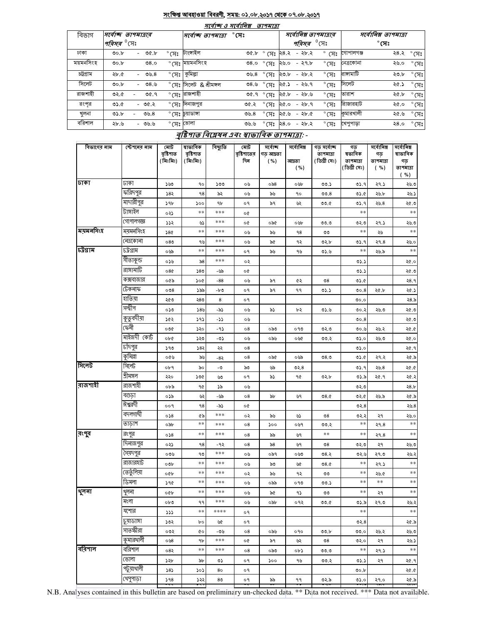# <u>সংক্ষিপ্ত আবহাওয়া বিবরণী, সময়: ০১.০৮.২০১৭ থেকে ০৭.০৮.২০১৭</u>

| मार्वाष्क 3 मार्वानिब्र<br>তাপমাত্রা |                               |   |               |                |                                  |              |                |                       |                                       |                |                          |                |                |
|--------------------------------------|-------------------------------|---|---------------|----------------|----------------------------------|--------------|----------------|-----------------------|---------------------------------------|----------------|--------------------------|----------------|----------------|
| বিভাগ                                | সৰ্বোচ্ছ তাপমাত্ৰাৰ           |   |               |                | সর্বোচ্ছ তাপমাত্রা               | $^\circ$ সেঃ |                | সর্বোনিম্ন তাপমাত্রার |                                       |                | সর্বোনিম্ন তাপমাত্রা     |                |                |
|                                      | <i>পরিসর <sup>৩</sup></i> সেঃ |   |               |                |                                  |              |                |                       | <i><b>পরিসর</b> <sup>0</sup> </i> সেঃ |                |                          | $^{\circ}$ (সঃ |                |
| ঢাকা                                 | 00.b                          |   | $-$ 0 $c$ .b  | $^{\circ}$ (সঃ | টাংসাইল                          | ৩৫.৮         | ° সেঃ ২৪.২     |                       | - ২৮.২                                |                | $^{\circ}$ (স: গোপালগঞ্জ | ২৪.২ ° সেঃ     |                |
| ময়মনসিংহ                            | 00.b                          |   | 08.0          |                | $^{\circ}$ (সঃ ময়মনসিংহ         | 0.80         | $^{\circ}$ (সঃ | ২৬.০                  | - ২৭.৮                                | $\degree$ (সঃ  | নেত্রকোনা                | ২৬.০           | $^{\circ}$ (সঃ |
| চট্টগ্ৰাম                            | ২৮.৫                          |   | - ৩৬.৪        | $^{\circ}$ (সঃ | কুমিল্লা                         | ৩৬. $8$      | $^{\circ}$ (সঃ | ২৩.৮                  | - ২৮.২                                | $^{\circ}$ (সঃ | রাঙ্গামাটি               | ২৩.৮           | $^{\circ}$ (সঃ |
| সিলেট                                | 00.b                          |   | - ৩৪.৬        |                | $^{\circ}$ (সঃ সিলেট & শ্রীমঙ্গল | ৩ $8.9$      | $^{\circ}$ (সঃ | ২৫.১                  | - ২৬.৭                                | $^{\circ}$ (সঃ | সিলেট                    | ২৫.১           | $^{\circ}$ (সঃ |
| রাজশাহী                              | ৩২.৫                          | ۰ | ৩৫.৭          |                | ° সেঃ <mark>রাজশাহী</mark>       | ৩৫.৭         | $^{\circ}$ (সঃ | ২৫.৮                  | -২৮৬                                  | $^{\circ}$ সেঃ | তারাশ                    | ২৫.৮           | $^{\circ}$ সেঃ |
| রংপর                                 | 0.6                           |   | - <b>00.2</b> |                | ° সেঃ দিনাজপুর                   | ৩৫.২         | $^{\circ}$ (সঃ | ২৫.০                  | - ২৮.৭                                | $^{\circ}$ (সঃ | রিাজারহাট                | ২৫.০           | $^{\circ}$ (সঃ |
| খলনা                                 | 0.5                           |   | ৩৬. $8$       |                | ° সেঃ চুয়াডাঙ্গা                | ৩৬. $8$      | $^{\circ}$ (সঃ | ২৫.৬                  | $-25.0$                               | $^{\circ}$ (সঃ | কুমারখালী                | ২৫.৬           | $^{\circ}$ (সঃ |
| বরিশাল                               | ২৮.৬                          |   | - ৩৬.৬        | °মেঃ ভোলা      |                                  | ৩৬.৬         | $^{\circ}$ (সঃ | ২৪.০                  | - ২৮.২                                | $^{\circ}$ (সঃ | খেপুপাড়া                | २ $8.0$        | $^{\circ}$ সেঃ |

# বৃষ্টিপাত বিশ্লেষন এবং স্বাভাবিক তাপমাত্ৰা: -

| বিভাগের নাম | স্টেশনের নাম | মোট<br>বৃষ্টিপাত<br>(মিঃমিঃ) | ষাভাবিক<br>বৃষ্টিপাত<br>(মিঃমিঃ) | বিছ্যুতি       | মোট<br>বৃষ্টিশাতের<br>দিন | সৰ্বোচ্ছ<br>গড় আদ্রতা<br>( %) | সৰ্বোনিম্ন<br>আদ্ৰতা<br>( %) | গড সৰ্বোচ্ছ<br>তাপমাত্রা<br>(ডিগ্ৰী সেঃ) | গড<br>ষভাবিক<br>তাপমাত্রা<br>(ডিগ্ৰী সেঃ) | সৰ্বোনিম্ন<br>গড়<br>তাপমাত্রা<br>( %) | সৰ্বোনিম্ন<br>ষাভাবিক<br>গড়<br>তাপমাত্রা<br>( %) |
|-------------|--------------|------------------------------|----------------------------------|----------------|---------------------------|--------------------------------|------------------------------|------------------------------------------|-------------------------------------------|----------------------------------------|---------------------------------------------------|
| ঢাকা        | ঢাকা         | ১৬৩                          | 90                               | ১৩৩            | ০৬                        | ০৯৪                            | ০৬৮                          | ৩৩.১                                     | ৩১.৭                                      | ২৭.১                                   | ২৬.৩                                              |
|             | ফরিদপুর      | ১৪২                          | 98                               | ৯২             | ০৬                        | ৯৬                             | ٩o                           | 00.8                                     | ৩১.৫                                      | ২৬.৮                                   | ২৬.১                                              |
|             | মাদারীপুর    | 59b                          | ১০০                              | ٩b             | o٩                        | ৯৭                             | ৬২                           | ৩৩.৫                                     | 05.9                                      | ২৬.৪                                   | ২৫.৩                                              |
|             | টাঙ্গাইল     | ০২১                          | $***$                            | ***            | o¢                        |                                |                              |                                          | $***$                                     |                                        | $\ast\ast$                                        |
|             | গোপালগজ্ঞ    | 322                          | ৬১                               | ***            | o¢                        | ০৯৫                            | ০৬৮                          | 00.0                                     | ৩২৩                                       | ২৭.১                                   | ২৬.৩                                              |
| ময়মনসিংহ   | ময়মনসিংহ    | 58¢                          | $***$                            | ***            | ০৬                        | ৯৬                             | ٩8                           | ৩৩                                       | $***$                                     | ২৬                                     | $\ast\ast$                                        |
|             | নেত্ৰকোনা    | 080                          | ৭৬                               | ***            | ০৬                        | ৯৫                             | ৭২                           | ৩২.৮                                     | ৩১.৭                                      | २१.8                                   | ২৬.০                                              |
| চউগ্ৰাম     | ঢট্রগ্রাম    | ০৬৯                          | $\ast\ast$                       | ***            | o٩                        | ৯৬                             | ৭৬                           | 0.6                                      | $**$                                      | ২৬.৯                                   | $\ast\ast$                                        |
|             | সীতাকুন্ড    | ০১৬                          | ৯৪                               | ***            | ०२                        |                                |                              |                                          | 05.5                                      |                                        | ২৫.০                                              |
|             | রাঙ্গামাটি   | 080                          | 580                              | -৬৯            | o¢                        |                                |                              |                                          | 05.5                                      |                                        | ২৫.৩                                              |
|             | কক্সবাজার    | ০৫৯                          | ১০৫                              | $-88$          | ০৬                        | ৯৭                             | ৫২                           | $\mathcal{S}^{\circ}$                    | ৩১.৫                                      |                                        | २8.१                                              |
|             | টেকনাফ       | 008                          | ১৯৯                              | -৮৩            | o٩                        | ৯৭                             | ۹۹                           | 05.5                                     | 00.8                                      | ২৫.৮                                   | ২৫.১                                              |
|             | যতিয়া       | ২৫৩                          | ২৪৩                              | 8              | o٩                        |                                |                              |                                          | 0.00                                      |                                        | ২৪.৯                                              |
|             | সন্দ্বীপ     | ০১৩                          | ১৪৬                              | -৯১            | ০৬                        | ৯১                             | ৮২                           | 0.6                                      | ৩০.২                                      | ২৬ ৩                                   | ২৫.৩                                              |
|             | কুতুবদীয়া   | ১৫২                          | 393                              | -72            | ০৬                        |                                |                              |                                          | 00.8                                      |                                        | ২৫.৩                                              |
|             | কেনী         | ০৩৫                          | ১২০                              | -95            | о8                        | ০৯৩                            | ০৭৩                          | ৩২৩                                      | ৩০.৬                                      | ২৬.২                                   | ১.৩২                                              |
|             | মাইজদী কোর্ট | ob¢                          | ১২৩                              | -৩১            | ০৬                        | ০৯৬                            | ০৬৫                          | ৩৩.২                                     | ৩১.০                                      | ২৬.৩                                   | ২৫.০                                              |
|             | চাঁদপুর      | ১৭৩                          | ১৪২                              | ২২             | 08                        |                                |                              |                                          | ৩১.০                                      |                                        | ২৫.৭                                              |
|             | কুমিল্লা     | ০৫৬                          | ৯৬                               | -8২            | о8                        | ০৯৫                            | ০৬৯                          | 08.0                                     | 0.6                                       | ২৭.২                                   | ২৫.৯                                              |
| সিলেট       | সিলেট        | ०৮৭                          | ৯০                               | -৩             | ৯৩                        | ৬৯                             | ৩২.৪                         |                                          | ৩১.৭                                      | ২৬.৪                                   | ২৫.৫                                              |
|             | শ্ৰীমঙ্গল    | ২২০                          | ১৩৫                              | ৬৩             | o٩                        | ৯১                             | 90                           | ৩২.৮                                     | ৩১.৯                                      | ২৫.৭                                   | ২৫.২                                              |
| রাজশাহী     | রাজশাহী      | ০৮৯                          | 90                               | ১৯             | ০৬                        |                                |                              |                                          | ৩২.৩                                      |                                        | ২8.৮                                              |
|             | বগুড়া       | ০১৯                          | ৬২                               | -৬৯            | о8                        | ৯৮                             | ৬৭                           | 08.0                                     | ৩২.৫                                      | ২৬.৯                                   | ২৫.৯                                              |
|             | ঈশ্বরদী      | ००१                          | 98                               | -৯১            | o¢                        |                                |                              |                                          | ৩২. $8$                                   |                                        | ২৬. $8$                                           |
|             | বদলগাঘী      | 058                          | ৫৯                               | ***            | ०२                        | ৯৬                             | ৬১                           | $\mathcal{S}^{\circ}$                    | ৩২.২                                      | ২৭                                     | ২৬.০                                              |
|             | তাড়াশ       | ০৯৮                          | $***$                            | ***            | о8                        | ১০০                            | ০৬৭                          | ৩৩.২                                     | $**$                                      | २१.8                                   | $\ast\ast$                                        |
| রংপুর       | রংপুর        | 058                          | $**$                             | ***            | о8                        | ৯৯                             | ৬৭                           | $***$                                    | **                                        | २१.8                                   | $\ast\ast$                                        |
|             | দিনাজপুর     | ০২১                          | ٩8                               | -9২            | о8                        | ৯৪                             | ৬৭                           | $\mathcal{S}^{\circ}$                    | ৩২.৩                                      | ২৭                                     | ২৬.৩                                              |
|             | সৈয়দপুর     | ০৩৬                          | ৭৩                               | ***            | ০৬                        | ০৯৭                            | ০৬৩                          | ৩ $8.5$                                  | ৩২.৬                                      | ২৭.৩                                   | ২৬.২                                              |
|             | রাজারহাট     | $\circ \circ b$              | $***$                            | ***            | ০৬                        | ৯৩                             | ৬৫                           | 08.0                                     | $**$                                      | 29.5                                   | $\ast\ast$                                        |
|             | তেতুঁলিয়া   | oQp                          | $**$                             | ***            | ०२                        | ৯৬                             | ৭২                           | ৩৩                                       | $**$                                      | ২৬.৫                                   | $\ast\ast$                                        |
|             | ডিমলা        | ১৭৫                          | $***$                            | ***            | ০৬                        | ০৯৯                            | ০৭৩                          | ৩৩.১                                     | $\ast\ast$                                | $\ast\ast$                             | $\ast\ast$                                        |
| থুলনা       | থুলনা        | <b>OGP</b>                   | $\ast\ast$                       | ***            | ০৬                        | ৯৫                             | ۹১                           | ৩৩                                       | $**$                                      | ২৭                                     | $\ast\ast$                                        |
|             | মংলা         | $ob$ ৩                       | ۹۹                               | ***            | ০৬                        | ০৯৮                            | ०१२                          | 00.6                                     | ৩১.৯                                      | ২৭.৩                                   | ২৬.২                                              |
|             | যশোর         | 772                          | $***$                            | ****           | o٩                        |                                |                              |                                          | $\ast$ $\ast$                             |                                        | $\ast\ast$                                        |
|             | চুয়াডাঙ্গা  | ১৩২                          | bο                               | ৬৫             | ०१                        |                                |                              |                                          | ৩২. $8$                                   |                                        | ২৫.৯                                              |
|             | সাতক্ষীরা    | ০৩২                          | ¢о                               | -৩৬            | 08                        | ০৯৬                            | ०१०                          | 00.b                                     | ৩৩.০                                      | ২৬.২                                   | ২৬.৩                                              |
|             | কুমারখালী    | ०७8                          | ٩b                               | ***            | o¢                        | ৯৭                             | ৬২                           | $\mathcal{O}8$                           | ৩২.০                                      | ২৭                                     | ২৬.১                                              |
| ববিশাল      | বরিশাল       | ০৪২                          | $**$                             | ***            | о8                        | ০৯৩                            | ob)                          | ৩৩.৩                                     | $***$                                     | ২৭.১                                   | $\ast\ast$                                        |
|             | ভোলা         | ১২৮                          | ৯৮                               | ৩১             | ०१                        | ১০০                            | ৭৬                           | ৩৩.২                                     | ৩১.১                                      | ২৭                                     | ২৫.৭                                              |
|             | পটুয়াথালী   | 585                          | ১০১                              | 80             | o٩                        |                                |                              |                                          | ৩০.৮                                      |                                        | ২৫.৫                                              |
|             | খেপুপাড়া    | 598                          | ১২২                              | 8 <sub>0</sub> | о۹                        | ৯৯                             | ۹۹                           | ৩২.৯                                     | ৩১.০                                      | ২৭.০                                   | ২৫.৯                                              |
|             |              |                              |                                  |                |                           |                                |                              |                                          |                                           |                                        |                                                   |

N.B. Analyses contained in this bulletin are based on preliminary un-checked data. \*\* Data not received. \*\*\* Data not available.